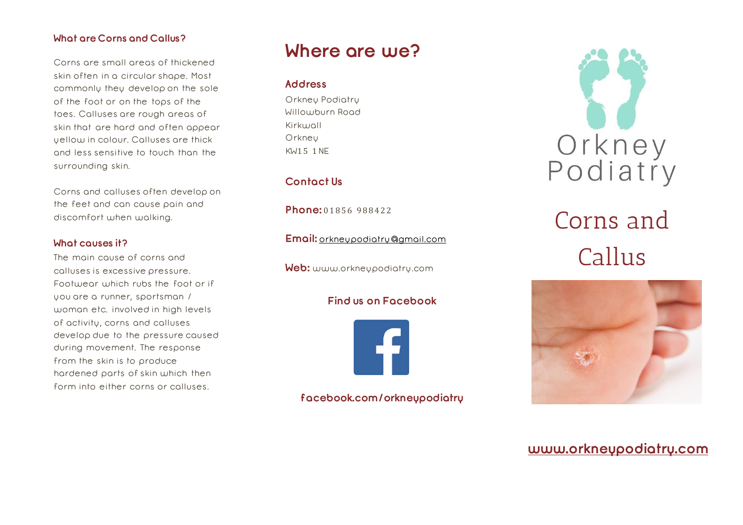## **What are Corns and Callus?**

Corns are small areas of thickened skin often in a circular shape. Most commonly they develop on the sole of the foot or on the tops of the toes. Calluses are rough areas of skin that are hard and often appear yellow in colour. Calluses are thick and less sensitive to touch than the surrounding skin.

Corns and calluses often develop on the feet and can cause pain and discomfort when walking.

#### **What causes it?**

The main cause of corns and calluses is excessive pressure. Footwear which rubs the foot or if you are a runner, sportsman / woman etc. involved in high levels of activity, corns and calluses develop due to the pressure caused during movement. The response from the skin is to produce hardened parts of skin which then form into either corns or calluses.

## **Where are we?**

### **Address**

Orkney Podiatry Willowburn Road Kirkwall **Orkney** KW1 5 1NE

## **Contact Us**

**Phone:** 01856 988422

**Email:** [orkneypodiatry@gmail.com](mailto:orkneypodiatry@gmail.com)

**Web:** www.orkneypodiatry.com

## **Find us on Facebook**



**facebook.com/orkneypodiatry**



# Corns and Callus



## **[www.orkneypodiatry.com](http://www.orkneypodiatry.com/)**